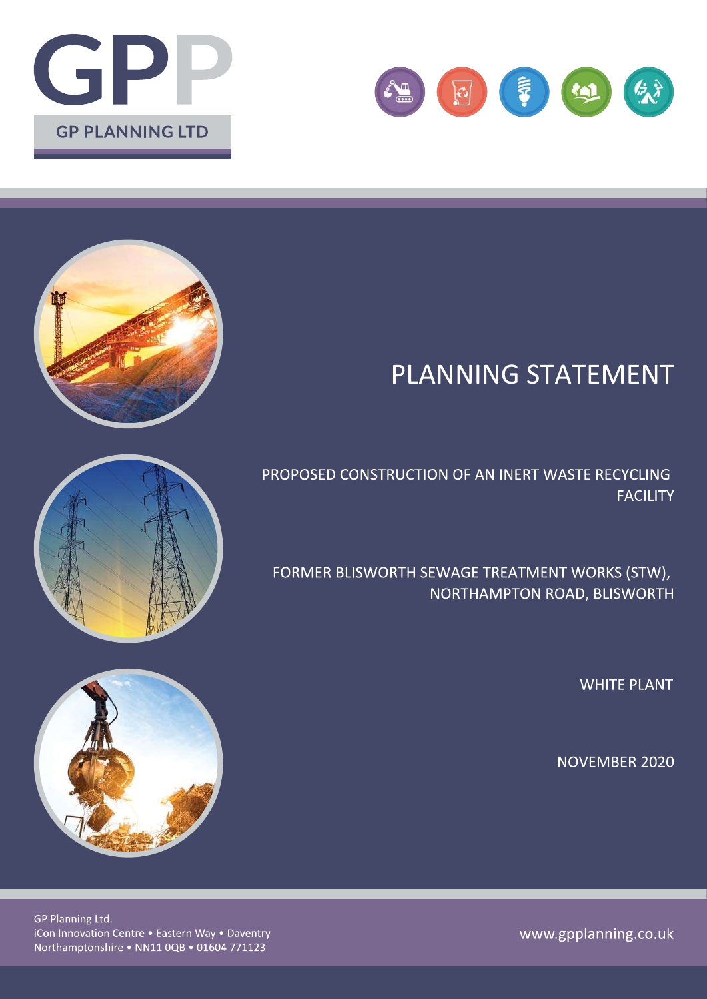



# **PLANNING STATEMENT**

PROPOSED CONSTRUCTION OF AN INERT WASTE RECYCLING **FACILITY** 

FORMER BLISWORTH SEWAGE TREATMENT WORKS (STW), NORTHAMPTON ROAD, BLISWORTH

**WHITE PLANT** 

**NOVEMBER 2020** 







GP Planning Ltd. iCon Innovation Centre . Eastern Way . Daventry Northamptonshire . NN11 0QB . 01604 771123

www.gpplanning.co.uk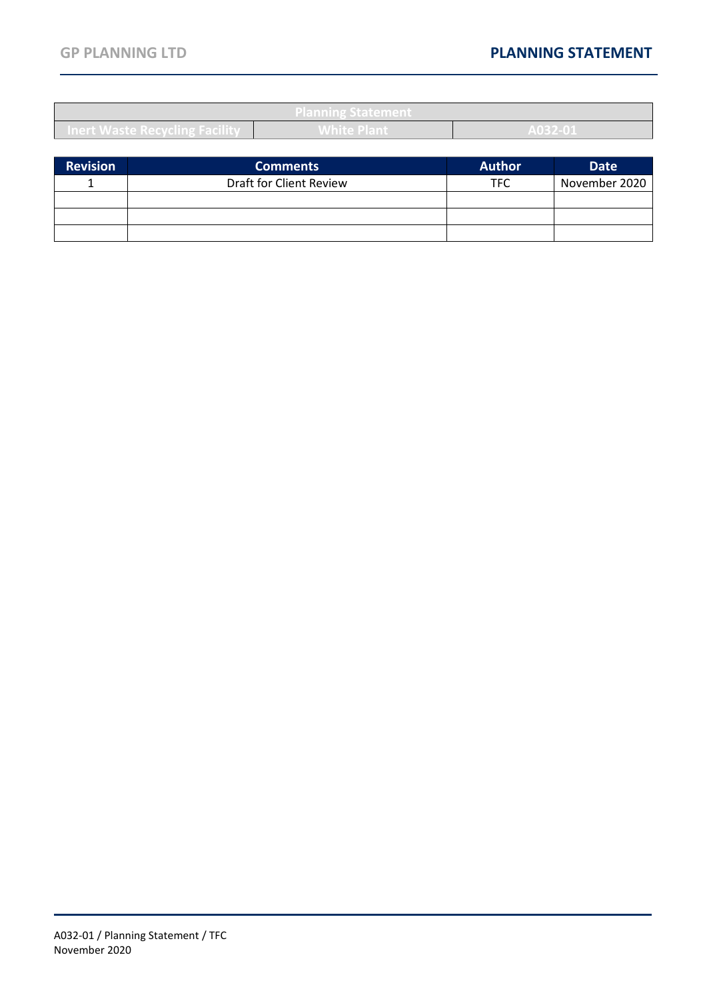| <b>Planning Statement</b>             |                    |                     |  |
|---------------------------------------|--------------------|---------------------|--|
| <b>Inert Waste Recycling Facility</b> | <b>White Plant</b> | 0.022.04<br>AUSZ-UI |  |
|                                       |                    |                     |  |

| <b>Revision</b> | <b>Comments</b>         | <b>Author</b> | <b>Date</b>   |
|-----------------|-------------------------|---------------|---------------|
|                 | Draft for Client Review | TFC           | November 2020 |
|                 |                         |               |               |
|                 |                         |               |               |
|                 |                         |               |               |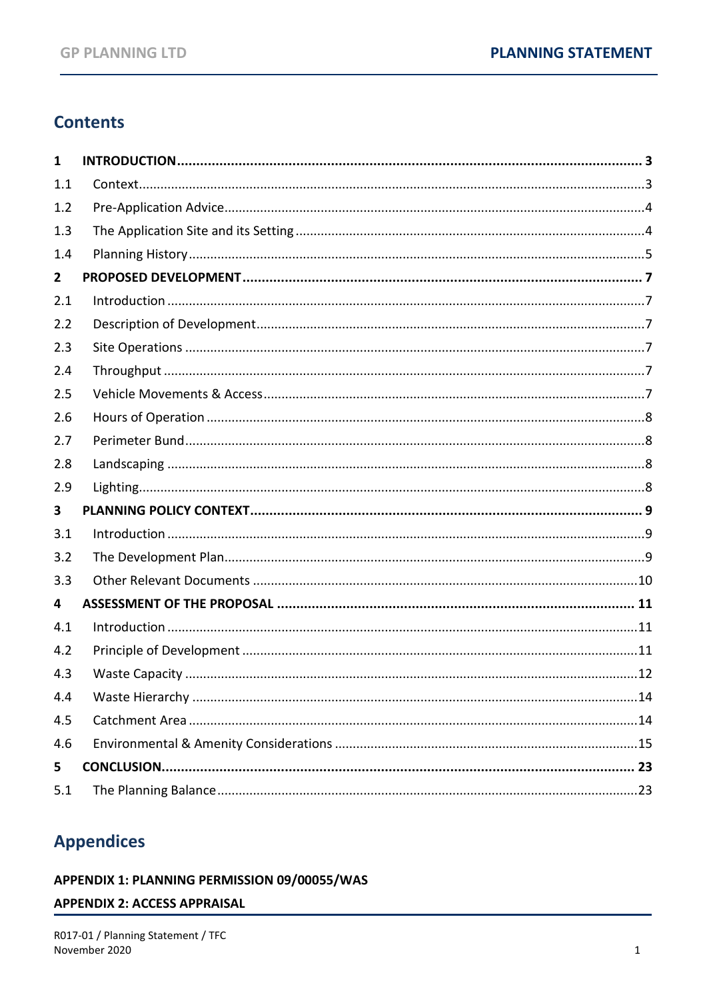# **Contents**

| 1            |  |
|--------------|--|
| 1.1          |  |
| 1.2          |  |
| 1.3          |  |
| 1.4          |  |
| $\mathbf{2}$ |  |
| 2.1          |  |
| 2.2          |  |
| 2.3          |  |
| 2.4          |  |
| 2.5          |  |
| 2.6          |  |
| 2.7          |  |
| 2.8          |  |
| 2.9          |  |
| 3            |  |
| 3.1          |  |
| 3.2          |  |
| 3.3          |  |
| 4            |  |
| 4.1          |  |
| 4.2          |  |
| 4.3          |  |
| 4.4          |  |
| 4.5          |  |
| 4.6          |  |
| 5            |  |
| 5.1          |  |

# **Appendices**

#### APPENDIX 1: PLANNING PERMISSION 09/00055/WAS

#### **APPENDIX 2: ACCESS APPRAISAL**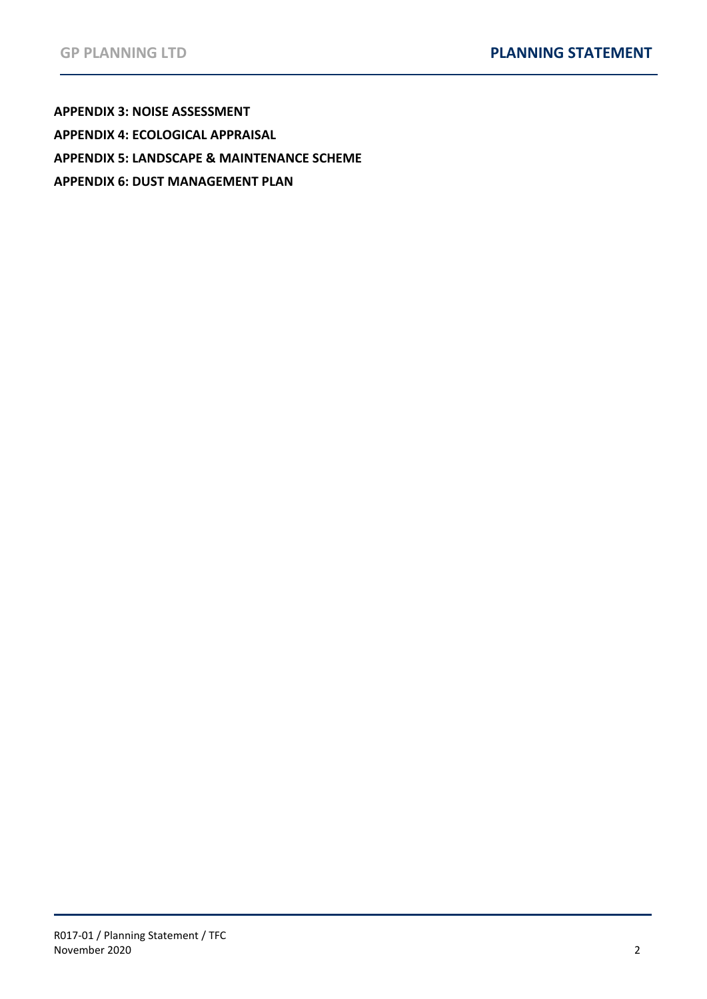**[APPENDIX 3: NOISE ASSESSMENT](#page-27-0) [APPENDIX 4: ECOLOGICAL APPRAISAL](#page-28-0) [APPENDIX 5: LANDSCAPE & MAINTENANCE SCHEME](#page-29-0) [APPENDIX 6: DUST MANAGEMENT PLAN](#page-30-0)**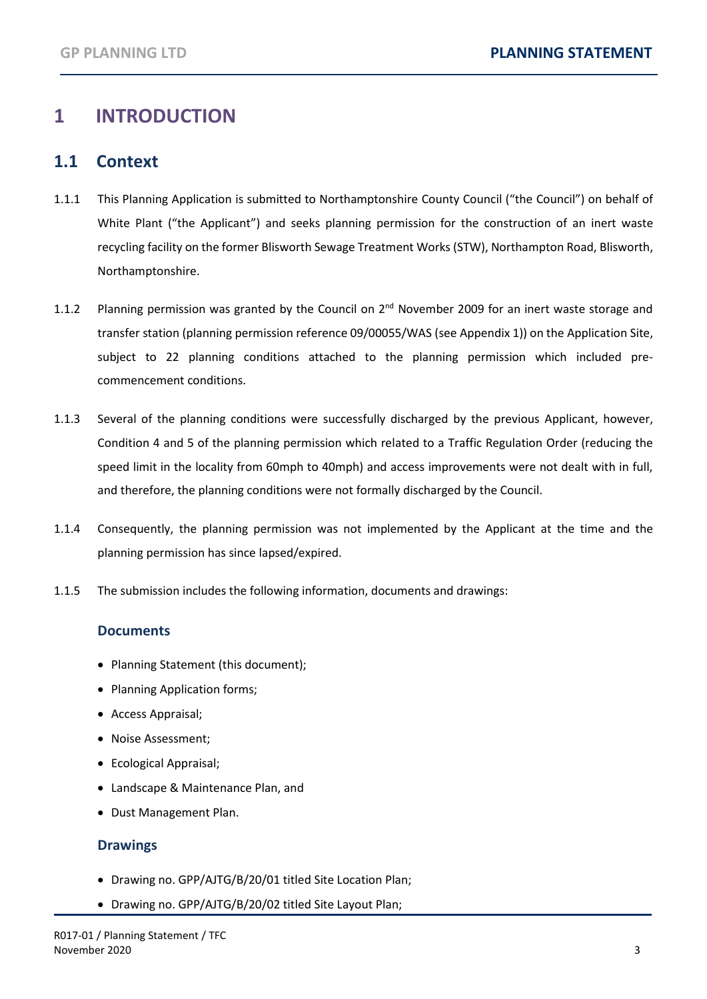# <span id="page-4-0"></span>**1 INTRODUCTION**

#### <span id="page-4-1"></span>**1.1 Context**

- 1.1.1 This Planning Application is submitted to Northamptonshire County Council ("the Council") on behalf of White Plant ("the Applicant") and seeks planning permission for the construction of an inert waste recycling facility on the former Blisworth Sewage Treatment Works (STW), Northampton Road, Blisworth, Northamptonshire.
- 1.1.2 Planning permission was granted by the Council on 2<sup>nd</sup> November 2009 for an inert waste storage and transfer station (planning permission reference 09/00055/WAS (see Appendix 1)) on the Application Site, subject to 22 planning conditions attached to the planning permission which included precommencement conditions.
- 1.1.3 Several of the planning conditions were successfully discharged by the previous Applicant, however, Condition 4 and 5 of the planning permission which related to a Traffic Regulation Order (reducing the speed limit in the locality from 60mph to 40mph) and access improvements were not dealt with in full, and therefore, the planning conditions were not formally discharged by the Council.
- 1.1.4 Consequently, the planning permission was not implemented by the Applicant at the time and the planning permission has since lapsed/expired.
- 1.1.5 The submission includes the following information, documents and drawings:

#### **Documents**

- Planning Statement (this document);
- Planning Application forms;
- Access Appraisal;
- Noise Assessment;
- Ecological Appraisal;
- Landscape & Maintenance Plan, and
- Dust Management Plan.

#### **Drawings**

- Drawing no. GPP/AJTG/B/20/01 titled Site Location Plan;
- Drawing no. GPP/AJTG/B/20/02 titled Site Layout Plan;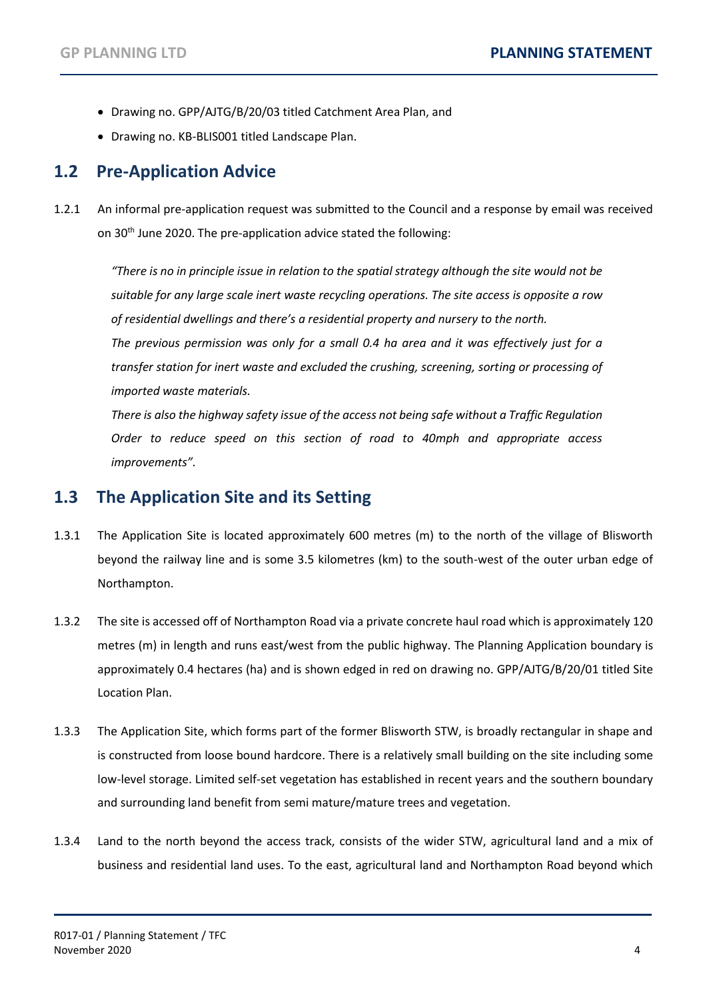- Drawing no. GPP/AJTG/B/20/03 titled Catchment Area Plan, and
- Drawing no. KB-BLIS001 titled Landscape Plan.

#### <span id="page-5-0"></span>**1.2 Pre-Application Advice**

1.2.1 An informal pre-application request was submitted to the Council and a response by email was received on 30th June 2020. The pre-application advice stated the following:

*"There is no in principle issue in relation to the spatial strategy although the site would not be suitable for any large scale inert waste recycling operations. The site access is opposite a row of residential dwellings and there's a residential property and nursery to the north. The previous permission was only for a small 0.4 ha area and it was effectively just for a transfer station for inert waste and excluded the crushing, screening, sorting or processing of imported waste materials.*

*There is also the highway safety issue of the access not being safe without a Traffic Regulation Order to reduce speed on this section of road to 40mph and appropriate access improvements".* 

#### <span id="page-5-1"></span>**1.3 The Application Site and its Setting**

- 1.3.1 The Application Site is located approximately 600 metres (m) to the north of the village of Blisworth beyond the railway line and is some 3.5 kilometres (km) to the south-west of the outer urban edge of Northampton.
- 1.3.2 The site is accessed off of Northampton Road via a private concrete haul road which is approximately 120 metres (m) in length and runs east/west from the public highway. The Planning Application boundary is approximately 0.4 hectares (ha) and is shown edged in red on drawing no. GPP/AJTG/B/20/01 titled Site Location Plan.
- 1.3.3 The Application Site, which forms part of the former Blisworth STW, is broadly rectangular in shape and is constructed from loose bound hardcore. There is a relatively small building on the site including some low-level storage. Limited self-set vegetation has established in recent years and the southern boundary and surrounding land benefit from semi mature/mature trees and vegetation.
- 1.3.4 Land to the north beyond the access track, consists of the wider STW, agricultural land and a mix of business and residential land uses. To the east, agricultural land and Northampton Road beyond which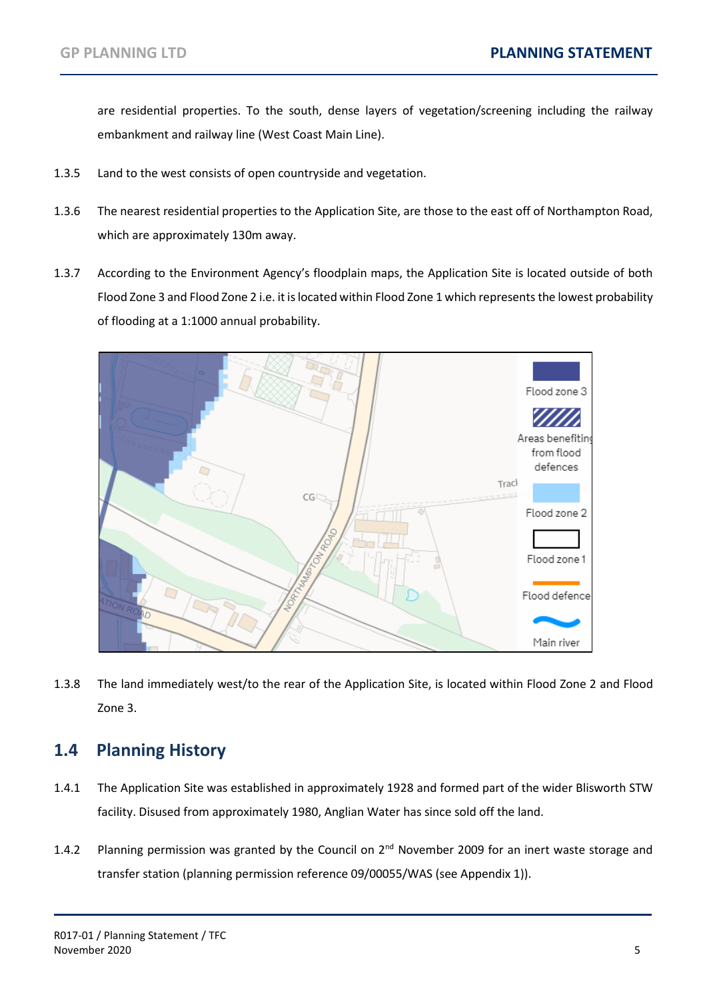are residential properties. To the south, dense layers of vegetation/screening including the railway embankment and railway line (West Coast Main Line).

- 1.3.5 Land to the west consists of open countryside and vegetation.
- 1.3.6 The nearest residential properties to the Application Site, are those to the east off of Northampton Road, which are approximately 130m away.
- 1.3.7 According to the Environment Agency's floodplain maps, the Application Site is located outside of both Flood Zone 3 and Flood Zone 2 i.e. it is located within Flood Zone 1 which represents the lowest probability of flooding at a 1:1000 annual probability.



1.3.8 The land immediately west/to the rear of the Application Site, is located within Flood Zone 2 and Flood Zone 3.

### <span id="page-6-0"></span>**1.4 Planning History**

- 1.4.1 The Application Site was established in approximately 1928 and formed part of the wider Blisworth STW facility. Disused from approximately 1980, Anglian Water has since sold off the land.
- 1.4.2 Planning permission was granted by the Council on 2<sup>nd</sup> November 2009 for an inert waste storage and transfer station (planning permission reference 09/00055/WAS (see Appendix 1)).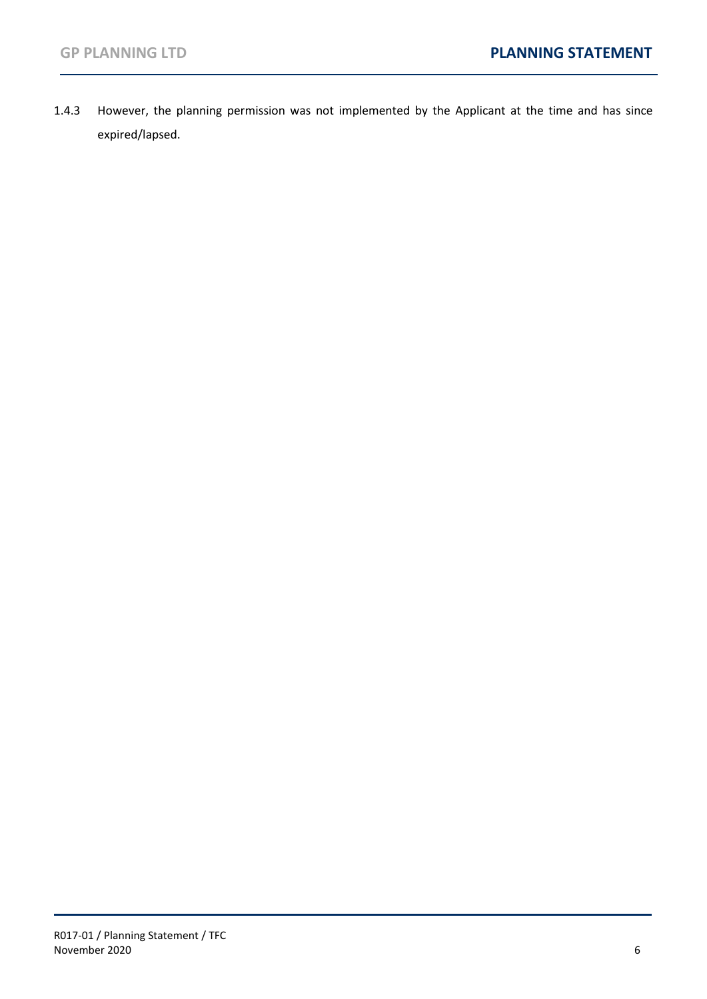1.4.3 However, the planning permission was not implemented by the Applicant at the time and has since expired/lapsed.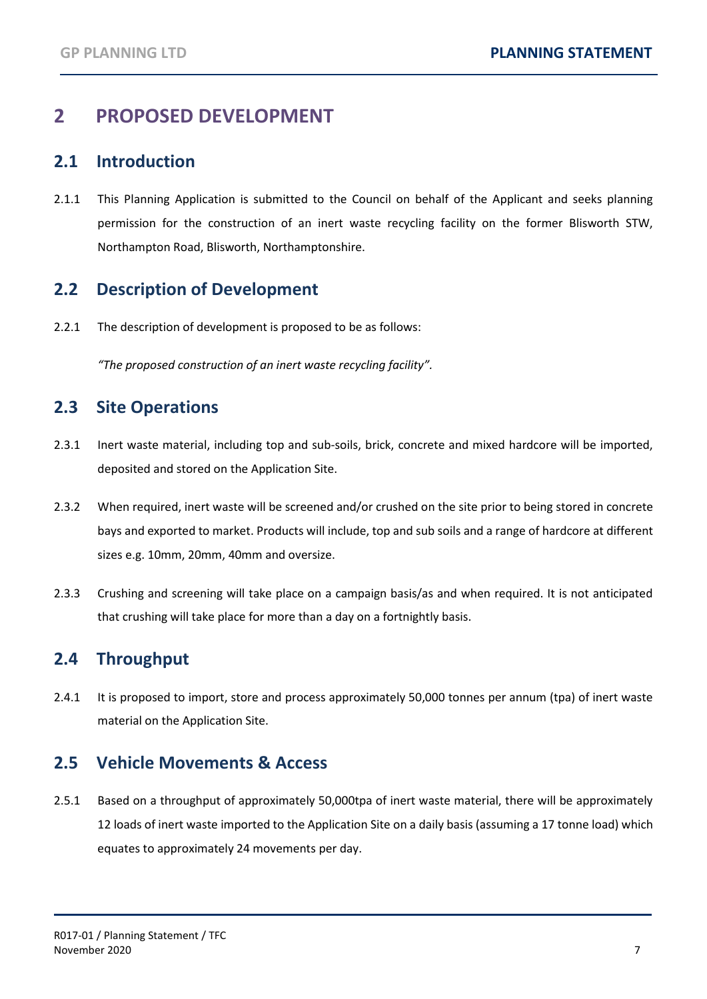# <span id="page-8-0"></span>**2 PROPOSED DEVELOPMENT**

#### <span id="page-8-1"></span>**2.1 Introduction**

2.1.1 This Planning Application is submitted to the Council on behalf of the Applicant and seeks planning permission for the construction of an inert waste recycling facility on the former Blisworth STW, Northampton Road, Blisworth, Northamptonshire.

### <span id="page-8-2"></span>**2.2 Description of Development**

2.2.1 The description of development is proposed to be as follows:

*"The proposed construction of an inert waste recycling facility".*

### <span id="page-8-3"></span>**2.3 Site Operations**

- 2.3.1 Inert waste material, including top and sub-soils, brick, concrete and mixed hardcore will be imported, deposited and stored on the Application Site.
- 2.3.2 When required, inert waste will be screened and/or crushed on the site prior to being stored in concrete bays and exported to market. Products will include, top and sub soils and a range of hardcore at different sizes e.g. 10mm, 20mm, 40mm and oversize.
- 2.3.3 Crushing and screening will take place on a campaign basis/as and when required. It is not anticipated that crushing will take place for more than a day on a fortnightly basis.

# <span id="page-8-4"></span>**2.4 Throughput**

2.4.1 It is proposed to import, store and process approximately 50,000 tonnes per annum (tpa) of inert waste material on the Application Site.

#### <span id="page-8-5"></span>**2.5 Vehicle Movements & Access**

2.5.1 Based on a throughput of approximately 50,000tpa of inert waste material, there will be approximately 12 loads of inert waste imported to the Application Site on a daily basis (assuming a 17 tonne load) which equates to approximately 24 movements per day.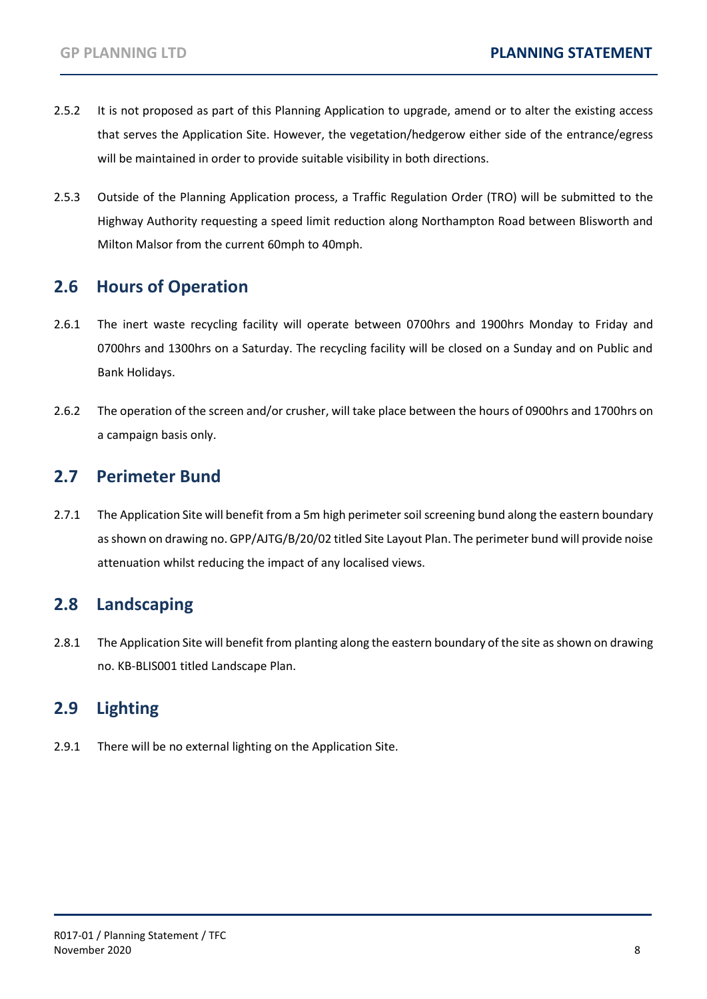- 2.5.2 It is not proposed as part of this Planning Application to upgrade, amend or to alter the existing access that serves the Application Site. However, the vegetation/hedgerow either side of the entrance/egress will be maintained in order to provide suitable visibility in both directions.
- 2.5.3 Outside of the Planning Application process, a Traffic Regulation Order (TRO) will be submitted to the Highway Authority requesting a speed limit reduction along Northampton Road between Blisworth and Milton Malsor from the current 60mph to 40mph.

### <span id="page-9-0"></span>**2.6 Hours of Operation**

- 2.6.1 The inert waste recycling facility will operate between 0700hrs and 1900hrs Monday to Friday and 0700hrs and 1300hrs on a Saturday. The recycling facility will be closed on a Sunday and on Public and Bank Holidays.
- 2.6.2 The operation of the screen and/or crusher, will take place between the hours of 0900hrs and 1700hrs on a campaign basis only.

#### <span id="page-9-1"></span>**2.7 Perimeter Bund**

2.7.1 The Application Site will benefit from a 5m high perimeter soil screening bund along the eastern boundary as shown on drawing no. GPP/AJTG/B/20/02 titled Site Layout Plan. The perimeter bund will provide noise attenuation whilst reducing the impact of any localised views.

#### <span id="page-9-2"></span>**2.8 Landscaping**

2.8.1 The Application Site will benefit from planting along the eastern boundary of the site as shown on drawing no. KB-BLIS001 titled Landscape Plan.

### <span id="page-9-3"></span>**2.9 Lighting**

2.9.1 There will be no external lighting on the Application Site.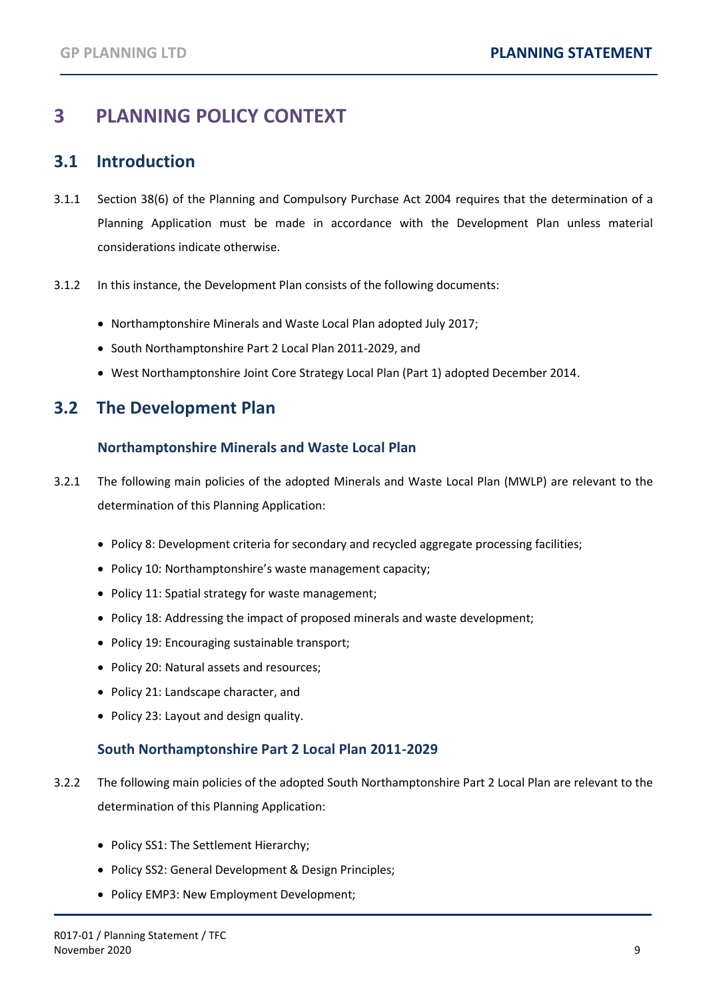# <span id="page-10-0"></span>**3 PLANNING POLICY CONTEXT**

#### <span id="page-10-1"></span>**3.1 Introduction**

- 3.1.1 Section 38(6) of the Planning and Compulsory Purchase Act 2004 requires that the determination of a Planning Application must be made in accordance with the Development Plan unless material considerations indicate otherwise.
- 3.1.2 In this instance, the Development Plan consists of the following documents:
	- Northamptonshire Minerals and Waste Local Plan adopted July 2017;
	- South Northamptonshire Part 2 Local Plan 2011-2029, and
	- West Northamptonshire Joint Core Strategy Local Plan (Part 1) adopted December 2014.

#### <span id="page-10-2"></span>**3.2 The Development Plan**

#### **Northamptonshire Minerals and Waste Local Plan**

- 3.2.1 The following main policies of the adopted Minerals and Waste Local Plan (MWLP) are relevant to the determination of this Planning Application:
	- Policy 8: Development criteria for secondary and recycled aggregate processing facilities;
	- Policy 10: Northamptonshire's waste management capacity;
	- Policy 11: Spatial strategy for waste management;
	- Policy 18: Addressing the impact of proposed minerals and waste development;
	- Policy 19: Encouraging sustainable transport;
	- Policy 20: Natural assets and resources;
	- Policy 21: Landscape character, and
	- Policy 23: Layout and design quality.

#### **South Northamptonshire Part 2 Local Plan 2011-2029**

- 3.2.2 The following main policies of the adopted South Northamptonshire Part 2 Local Plan are relevant to the determination of this Planning Application:
	- Policy SS1: The Settlement Hierarchy;
	- Policy SS2: General Development & Design Principles;
	- Policy EMP3: New Employment Development;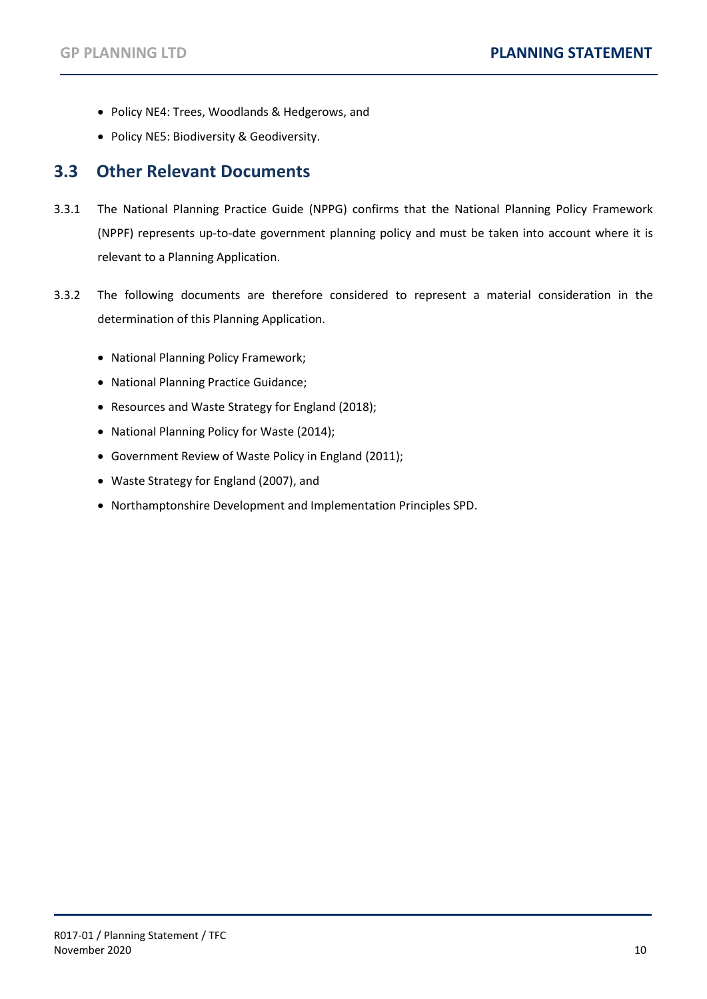- Policy NE4: Trees, Woodlands & Hedgerows, and
- Policy NE5: Biodiversity & Geodiversity.

#### <span id="page-11-0"></span>**3.3 Other Relevant Documents**

- 3.3.1 The National Planning Practice Guide (NPPG) confirms that the National Planning Policy Framework (NPPF) represents up-to-date government planning policy and must be taken into account where it is relevant to a Planning Application.
- 3.3.2 The following documents are therefore considered to represent a material consideration in the determination of this Planning Application.
	- National Planning Policy Framework;
	- National Planning Practice Guidance;
	- Resources and Waste Strategy for England (2018);
	- National Planning Policy for Waste (2014);
	- Government Review of Waste Policy in England (2011);
	- Waste Strategy for England (2007), and
	- Northamptonshire Development and Implementation Principles SPD.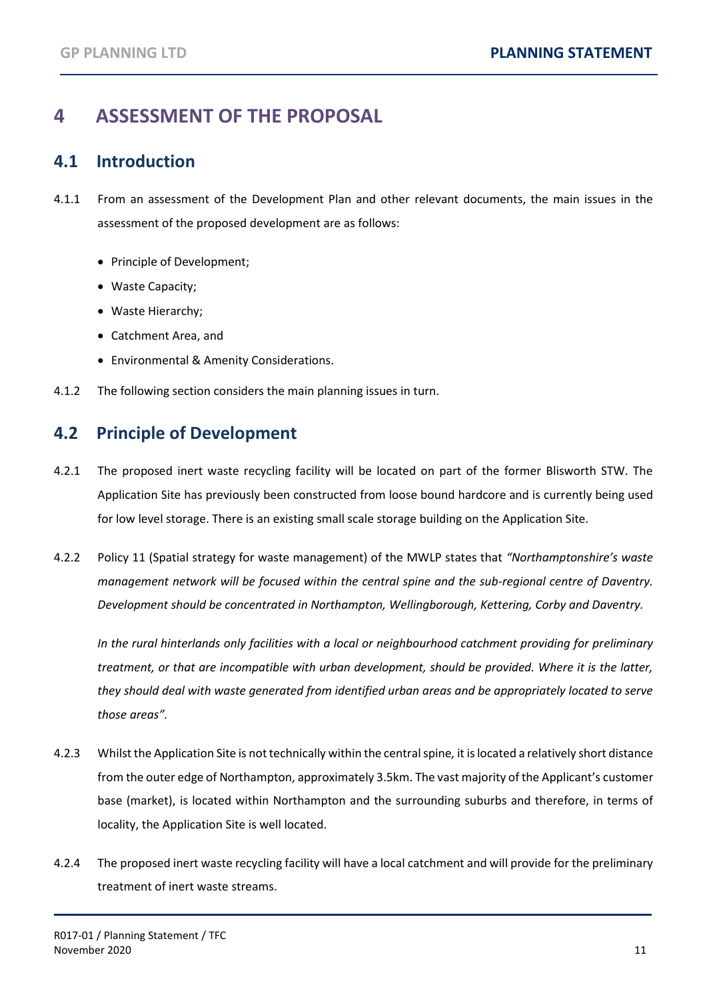# <span id="page-12-0"></span>**4 ASSESSMENT OF THE PROPOSAL**

### <span id="page-12-1"></span>**4.1 Introduction**

- 4.1.1 From an assessment of the Development Plan and other relevant documents, the main issues in the assessment of the proposed development are as follows:
	- Principle of Development;
	- Waste Capacity;
	- Waste Hierarchy;
	- Catchment Area, and
	- Environmental & Amenity Considerations.
- 4.1.2 The following section considers the main planning issues in turn.

### <span id="page-12-2"></span>**4.2 Principle of Development**

- 4.2.1 The proposed inert waste recycling facility will be located on part of the former Blisworth STW. The Application Site has previously been constructed from loose bound hardcore and is currently being used for low level storage. There is an existing small scale storage building on the Application Site.
- 4.2.2 Policy 11 (Spatial strategy for waste management) of the MWLP states that *"Northamptonshire's waste management network will be focused within the central spine and the sub-regional centre of Daventry. Development should be concentrated in Northampton, Wellingborough, Kettering, Corby and Daventry.*

*In the rural hinterlands only facilities with a local or neighbourhood catchment providing for preliminary treatment, or that are incompatible with urban development, should be provided. Where it is the latter, they should deal with waste generated from identified urban areas and be appropriately located to serve those areas".*

- 4.2.3 Whilst the Application Site is not technically within the central spine*,* it is located a relatively short distance from the outer edge of Northampton, approximately 3.5km. The vast majority of the Applicant's customer base (market), is located within Northampton and the surrounding suburbs and therefore, in terms of locality, the Application Site is well located.
- 4.2.4 The proposed inert waste recycling facility will have a local catchment and will provide for the preliminary treatment of inert waste streams.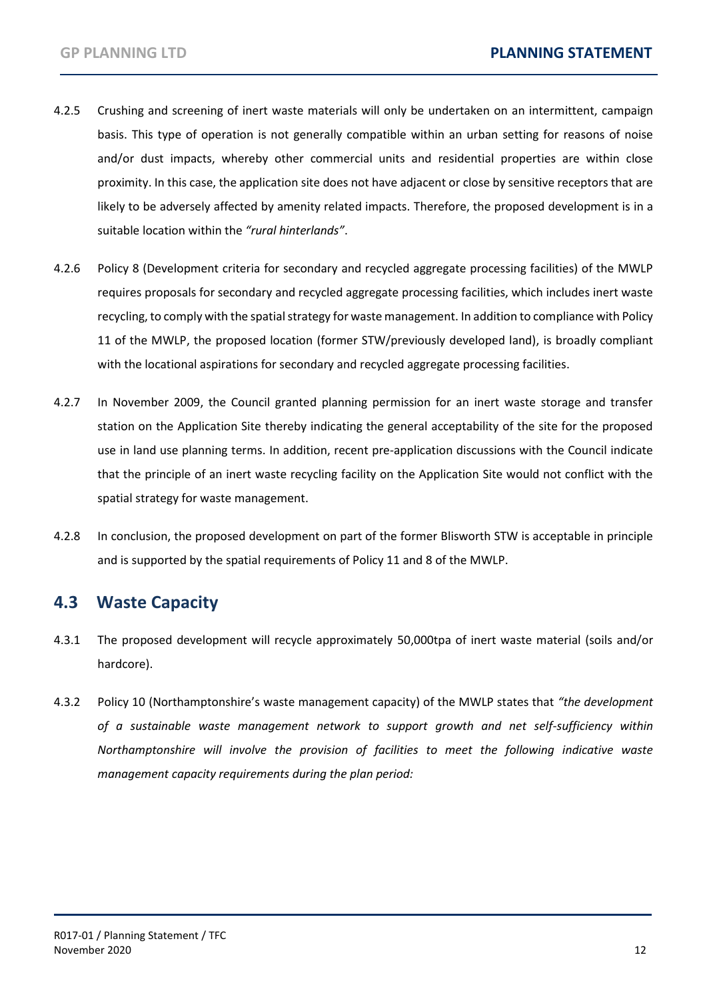- 4.2.5 Crushing and screening of inert waste materials will only be undertaken on an intermittent, campaign basis. This type of operation is not generally compatible within an urban setting for reasons of noise and/or dust impacts, whereby other commercial units and residential properties are within close proximity. In this case, the application site does not have adjacent or close by sensitive receptors that are likely to be adversely affected by amenity related impacts. Therefore, the proposed development is in a suitable location within the *"rural hinterlands"*.
- 4.2.6 Policy 8 (Development criteria for secondary and recycled aggregate processing facilities) of the MWLP requires proposals for secondary and recycled aggregate processing facilities, which includes inert waste recycling, to comply with the spatial strategy for waste management. In addition to compliance with Policy 11 of the MWLP, the proposed location (former STW/previously developed land), is broadly compliant with the locational aspirations for secondary and recycled aggregate processing facilities.
- 4.2.7 In November 2009, the Council granted planning permission for an inert waste storage and transfer station on the Application Site thereby indicating the general acceptability of the site for the proposed use in land use planning terms. In addition, recent pre-application discussions with the Council indicate that the principle of an inert waste recycling facility on the Application Site would not conflict with the spatial strategy for waste management.
- 4.2.8 In conclusion, the proposed development on part of the former Blisworth STW is acceptable in principle and is supported by the spatial requirements of Policy 11 and 8 of the MWLP.

### <span id="page-13-0"></span>**4.3 Waste Capacity**

- 4.3.1 The proposed development will recycle approximately 50,000tpa of inert waste material (soils and/or hardcore).
- 4.3.2 Policy 10 (Northamptonshire's waste management capacity) of the MWLP states that *"the development of a sustainable waste management network to support growth and net self-sufficiency within Northamptonshire will involve the provision of facilities to meet the following indicative waste management capacity requirements during the plan period:*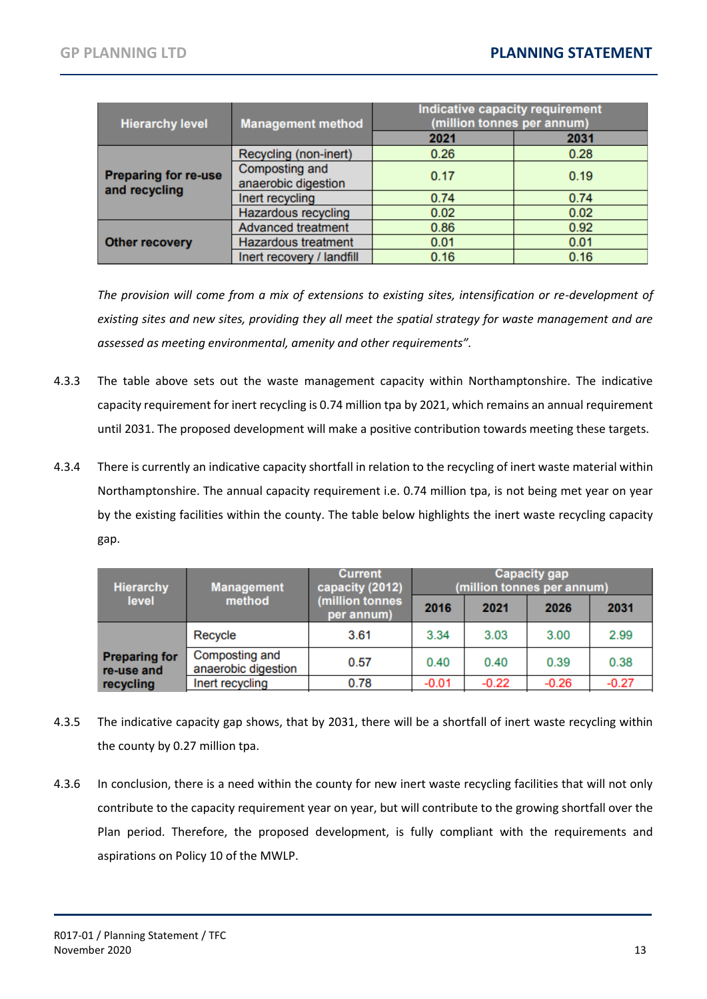| <b>Hierarchy level</b>                       | <b>Management method</b>              | Indicative capacity requirement<br>(million tonnes per annum) |      |  |
|----------------------------------------------|---------------------------------------|---------------------------------------------------------------|------|--|
|                                              |                                       | 2021                                                          | 2031 |  |
| <b>Preparing for re-use</b><br>and recycling | Recycling (non-inert)                 | 0.26                                                          | 0.28 |  |
|                                              | Composting and<br>anaerobic digestion | 0.17                                                          | 0.19 |  |
|                                              | Inert recycling                       | 0.74                                                          | 0.74 |  |
|                                              | Hazardous recycling                   | 0.02                                                          | 0.02 |  |
|                                              | Advanced treatment                    | 0.86                                                          | 0.92 |  |
| <b>Other recovery</b>                        | <b>Hazardous treatment</b>            | 0.01                                                          | 0.01 |  |
|                                              | Inert recovery / landfill             | 0.16                                                          | 0.16 |  |

*The provision will come from a mix of extensions to existing sites, intensification or re-development of existing sites and new sites, providing they all meet the spatial strategy for waste management and are assessed as meeting environmental, amenity and other requirements".*

- 4.3.3 The table above sets out the waste management capacity within Northamptonshire. The indicative capacity requirement for inert recycling is 0.74 million tpa by 2021, which remains an annual requirement until 2031. The proposed development will make a positive contribution towards meeting these targets.
- 4.3.4 There is currently an indicative capacity shortfall in relation to the recycling of inert waste material within Northamptonshire. The annual capacity requirement i.e. 0.74 million tpa, is not being met year on year by the existing facilities within the county. The table below highlights the inert waste recycling capacity gap.

| <b>Hierarchy</b>                   | <b>Management</b>                     | Current<br>capacity (2012)<br>(million tonnes<br>per annum) | <b>Capacity gap</b><br>(million tonnes per annum) |         |         |         |
|------------------------------------|---------------------------------------|-------------------------------------------------------------|---------------------------------------------------|---------|---------|---------|
| level                              | method                                |                                                             | 2016                                              | 2021    | 2026    | 2031    |
|                                    | Recycle                               | 3.61                                                        | 3.34                                              | 3.03    | 3.00    | 2.99    |
| <b>Preparing for</b><br>re-use and | Composting and<br>anaerobic digestion | 0.57                                                        | 0.40                                              | 0.40    | 0.39    | 0.38    |
| recycling                          | Inert recycling                       | 0.78                                                        | $-0.01$                                           | $-0.22$ | $-0.26$ | $-0.27$ |

- 4.3.5 The indicative capacity gap shows, that by 2031, there will be a shortfall of inert waste recycling within the county by 0.27 million tpa.
- 4.3.6 In conclusion, there is a need within the county for new inert waste recycling facilities that will not only contribute to the capacity requirement year on year, but will contribute to the growing shortfall over the Plan period. Therefore, the proposed development, is fully compliant with the requirements and aspirations on Policy 10 of the MWLP.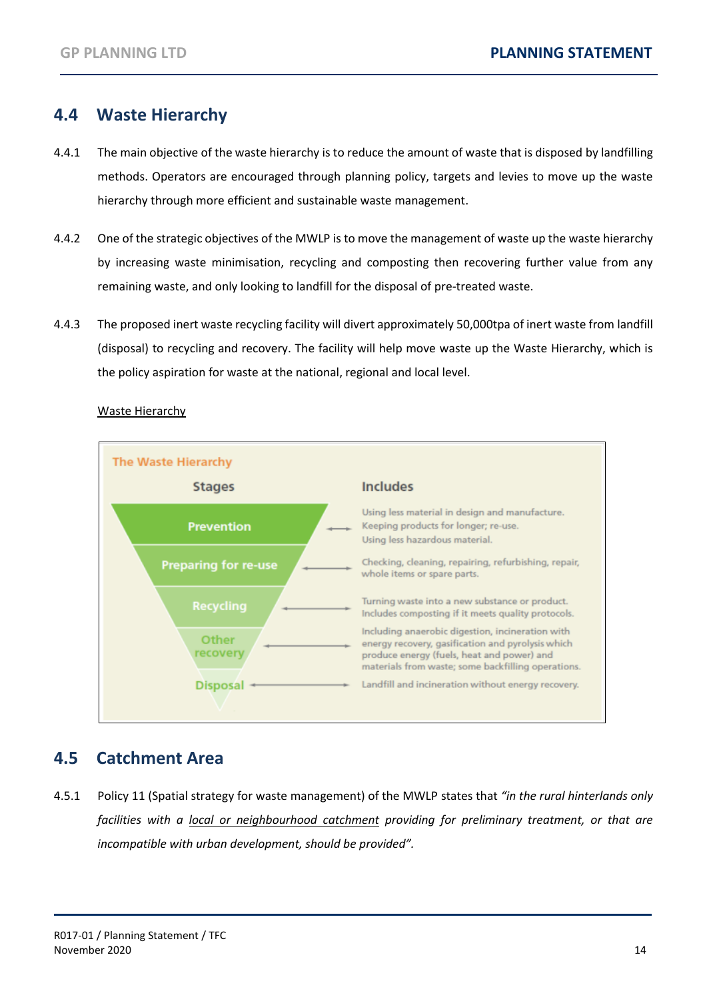### <span id="page-15-0"></span>**4.4 Waste Hierarchy**

- 4.4.1 The main objective of the waste hierarchy is to reduce the amount of waste that is disposed by landfilling methods. Operators are encouraged through planning policy, targets and levies to move up the waste hierarchy through more efficient and sustainable waste management.
- 4.4.2 One of the strategic objectives of the MWLP is to move the management of waste up the waste hierarchy by increasing waste minimisation, recycling and composting then recovering further value from any remaining waste, and only looking to landfill for the disposal of pre-treated waste.
- 4.4.3 The proposed inert waste recycling facility will divert approximately 50,000tpa of inert waste from landfill (disposal) to recycling and recovery. The facility will help move waste up the Waste Hierarchy, which is the policy aspiration for waste at the national, regional and local level.



#### Waste Hierarchy

### <span id="page-15-1"></span>**4.5 Catchment Area**

4.5.1 Policy 11 (Spatial strategy for waste management) of the MWLP states that *"in the rural hinterlands only facilities with a local or neighbourhood catchment providing for preliminary treatment, or that are incompatible with urban development, should be provided".*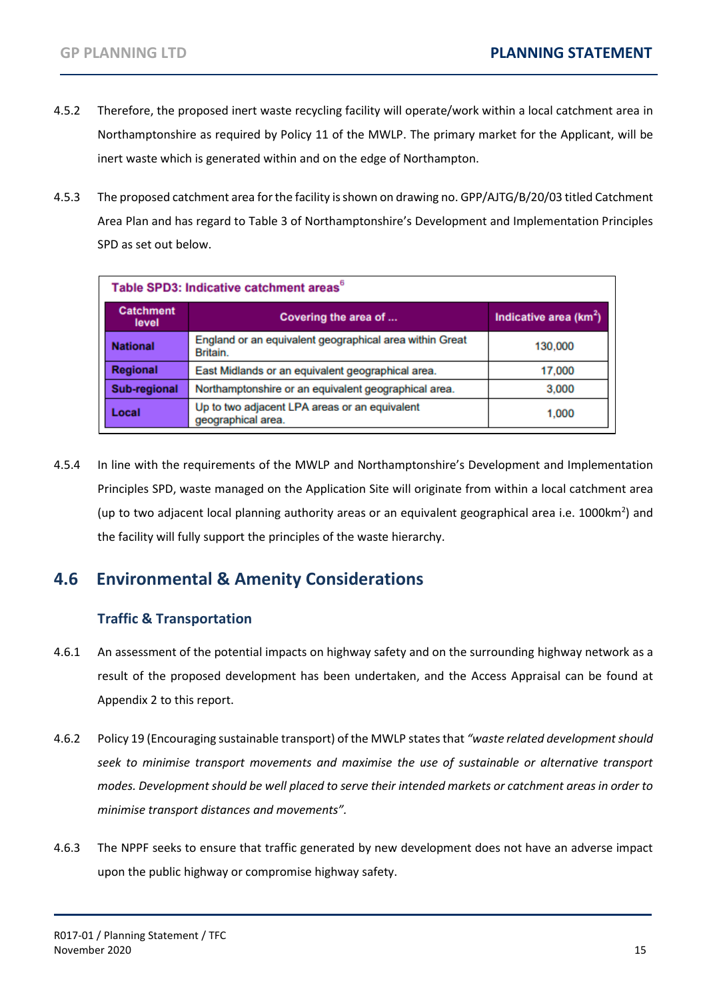- 4.5.2 Therefore, the proposed inert waste recycling facility will operate/work within a local catchment area in Northamptonshire as required by Policy 11 of the MWLP. The primary market for the Applicant, will be inert waste which is generated within and on the edge of Northampton.
- 4.5.3 The proposed catchment area for the facility is shown on drawing no. GPP/AJTG/B/20/03 titled Catchment Area Plan and has regard to Table 3 of Northamptonshire's Development and Implementation Principles SPD as set out below.

| Table SPD3: Indicative catchment areas <sup>6</sup> |                                                                     |                          |  |
|-----------------------------------------------------|---------------------------------------------------------------------|--------------------------|--|
| <b>Catchment</b><br>level                           | Covering the area of                                                | Indicative area $(km^2)$ |  |
| <b>National</b>                                     | England or an equivalent geographical area within Great<br>Britain. | 130,000                  |  |
| <b>Regional</b>                                     | East Midlands or an equivalent geographical area.                   | 17,000                   |  |
| <b>Sub-regional</b>                                 | Northamptonshire or an equivalent geographical area.                | 3,000                    |  |
| Local                                               | Up to two adjacent LPA areas or an equivalent<br>geographical area. | 1,000                    |  |

4.5.4 In line with the requirements of the MWLP and Northamptonshire's Development and Implementation Principles SPD, waste managed on the Application Site will originate from within a local catchment area (up to two adjacent local planning authority areas or an equivalent geographical area i.e. 1000km<sup>2</sup>) and the facility will fully support the principles of the waste hierarchy.

### <span id="page-16-0"></span>**4.6 Environmental & Amenity Considerations**

#### **Traffic & Transportation**

- 4.6.1 An assessment of the potential impacts on highway safety and on the surrounding highway network as a result of the proposed development has been undertaken, and the Access Appraisal can be found at Appendix 2 to this report.
- 4.6.2 Policy 19 (Encouraging sustainable transport) of the MWLP states that *"waste related development should seek to minimise transport movements and maximise the use of sustainable or alternative transport modes. Development should be well placed to serve their intended markets or catchment areas in order to minimise transport distances and movements".*
- 4.6.3 The NPPF seeks to ensure that traffic generated by new development does not have an adverse impact upon the public highway or compromise highway safety.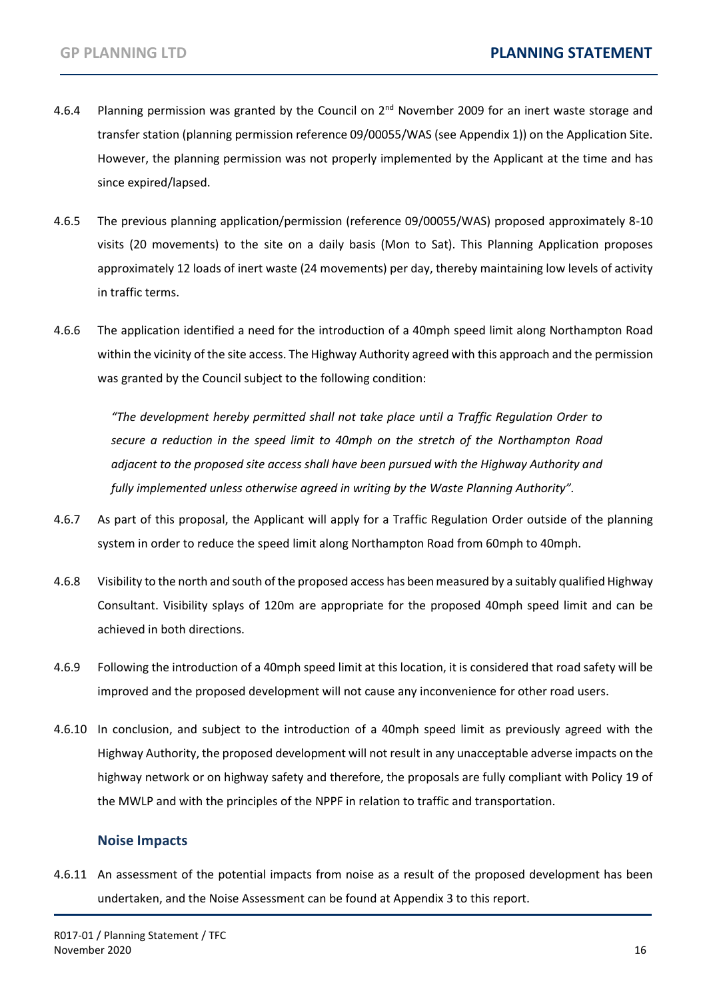- 4.6.4 Planning permission was granted by the Council on 2<sup>nd</sup> November 2009 for an inert waste storage and transfer station (planning permission reference 09/00055/WAS (see Appendix 1)) on the Application Site. However, the planning permission was not properly implemented by the Applicant at the time and has since expired/lapsed.
- 4.6.5 The previous planning application/permission (reference 09/00055/WAS) proposed approximately 8-10 visits (20 movements) to the site on a daily basis (Mon to Sat). This Planning Application proposes approximately 12 loads of inert waste (24 movements) per day, thereby maintaining low levels of activity in traffic terms.
- 4.6.6 The application identified a need for the introduction of a 40mph speed limit along Northampton Road within the vicinity of the site access. The Highway Authority agreed with this approach and the permission was granted by the Council subject to the following condition:

*"The development hereby permitted shall not take place until a Traffic Regulation Order to secure a reduction in the speed limit to 40mph on the stretch of the Northampton Road adjacent to the proposed site access shall have been pursued with the Highway Authority and fully implemented unless otherwise agreed in writing by the Waste Planning Authority".*

- 4.6.7 As part of this proposal, the Applicant will apply for a Traffic Regulation Order outside of the planning system in order to reduce the speed limit along Northampton Road from 60mph to 40mph.
- 4.6.8 Visibility to the north and south of the proposed access has been measured by a suitably qualified Highway Consultant. Visibility splays of 120m are appropriate for the proposed 40mph speed limit and can be achieved in both directions.
- 4.6.9 Following the introduction of a 40mph speed limit at this location, it is considered that road safety will be improved and the proposed development will not cause any inconvenience for other road users.
- 4.6.10 In conclusion, and subject to the introduction of a 40mph speed limit as previously agreed with the Highway Authority, the proposed development will not result in any unacceptable adverse impacts on the highway network or on highway safety and therefore, the proposals are fully compliant with Policy 19 of the MWLP and with the principles of the NPPF in relation to traffic and transportation.

#### **Noise Impacts**

4.6.11 An assessment of the potential impacts from noise as a result of the proposed development has been undertaken, and the Noise Assessment can be found at Appendix 3 to this report.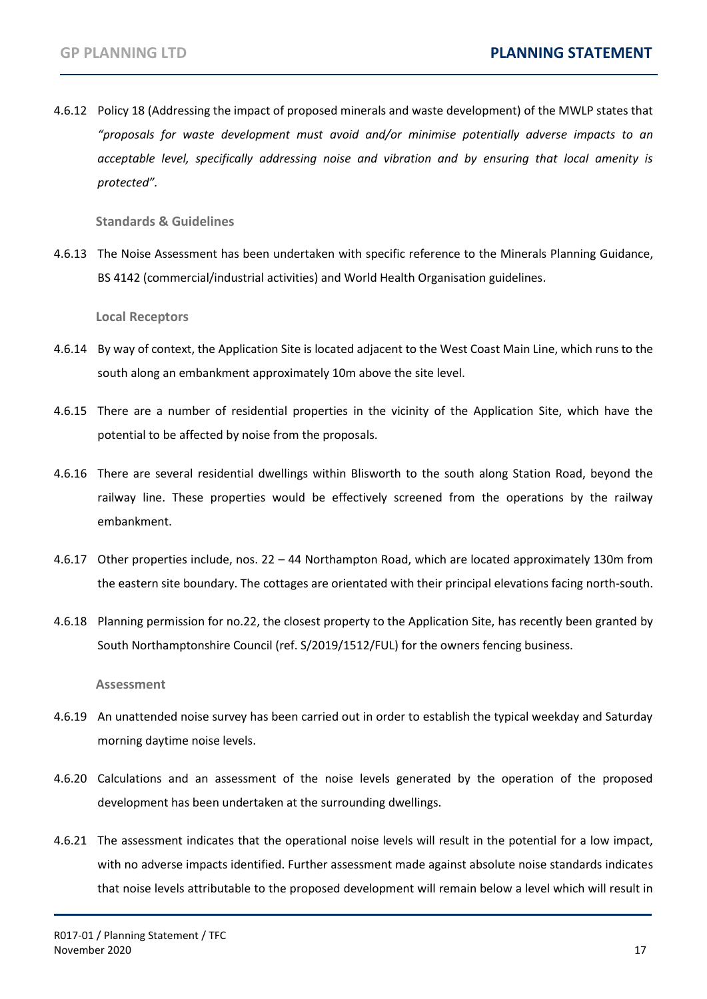4.6.12 Policy 18 (Addressing the impact of proposed minerals and waste development) of the MWLP states that *"proposals for waste development must avoid and/or minimise potentially adverse impacts to an acceptable level, specifically addressing noise and vibration and by ensuring that local amenity is protected".*

**Standards & Guidelines**

4.6.13 The Noise Assessment has been undertaken with specific reference to the Minerals Planning Guidance, BS 4142 (commercial/industrial activities) and World Health Organisation guidelines.

**Local Receptors**

- 4.6.14 By way of context, the Application Site is located adjacent to the West Coast Main Line, which runs to the south along an embankment approximately 10m above the site level.
- 4.6.15 There are a number of residential properties in the vicinity of the Application Site, which have the potential to be affected by noise from the proposals.
- 4.6.16 There are several residential dwellings within Blisworth to the south along Station Road, beyond the railway line. These properties would be effectively screened from the operations by the railway embankment.
- 4.6.17 Other properties include, nos. 22 44 Northampton Road, which are located approximately 130m from the eastern site boundary. The cottages are orientated with their principal elevations facing north-south.
- 4.6.18 Planning permission for no.22, the closest property to the Application Site, has recently been granted by South Northamptonshire Council (ref. S/2019/1512/FUL) for the owners fencing business.

**Assessment**

- 4.6.19 An unattended noise survey has been carried out in order to establish the typical weekday and Saturday morning daytime noise levels.
- 4.6.20 Calculations and an assessment of the noise levels generated by the operation of the proposed development has been undertaken at the surrounding dwellings.
- 4.6.21 The assessment indicates that the operational noise levels will result in the potential for a low impact, with no adverse impacts identified. Further assessment made against absolute noise standards indicates that noise levels attributable to the proposed development will remain below a level which will result in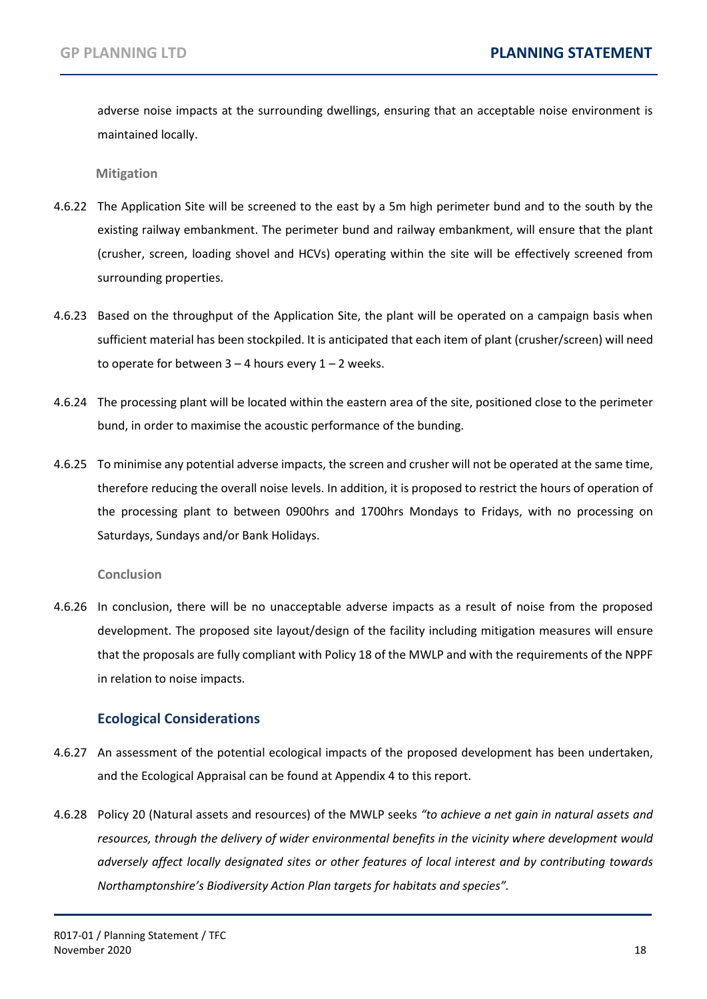adverse noise impacts at the surrounding dwellings, ensuring that an acceptable noise environment is maintained locally.

**Mitigation**

- 4.6.22 The Application Site will be screened to the east by a 5m high perimeter bund and to the south by the existing railway embankment. The perimeter bund and railway embankment, will ensure that the plant (crusher, screen, loading shovel and HCVs) operating within the site will be effectively screened from surrounding properties.
- 4.6.23 Based on the throughput of the Application Site, the plant will be operated on a campaign basis when sufficient material has been stockpiled. It is anticipated that each item of plant (crusher/screen) will need to operate for between  $3 - 4$  hours every  $1 - 2$  weeks.
- 4.6.24 The processing plant will be located within the eastern area of the site, positioned close to the perimeter bund, in order to maximise the acoustic performance of the bunding.
- 4.6.25 To minimise any potential adverse impacts, the screen and crusher will not be operated at the same time, therefore reducing the overall noise levels. In addition, it is proposed to restrict the hours of operation of the processing plant to between 0900hrs and 1700hrs Mondays to Fridays, with no processing on Saturdays, Sundays and/or Bank Holidays.

#### **Conclusion**

4.6.26 In conclusion, there will be no unacceptable adverse impacts as a result of noise from the proposed development. The proposed site layout/design of the facility including mitigation measures will ensure that the proposals are fully compliant with Policy 18 of the MWLP and with the requirements of the NPPF in relation to noise impacts.

#### **Ecological Considerations**

- 4.6.27 An assessment of the potential ecological impacts of the proposed development has been undertaken, and the Ecological Appraisal can be found at Appendix 4 to this report.
- 4.6.28 Policy 20 (Natural assets and resources) of the MWLP seeks *"to achieve a net gain in natural assets and resources, through the delivery of wider environmental benefits in the vicinity where development would adversely affect locally designated sites or other features of local interest and by contributing towards Northamptonshire's Biodiversity Action Plan targets for habitats and species".*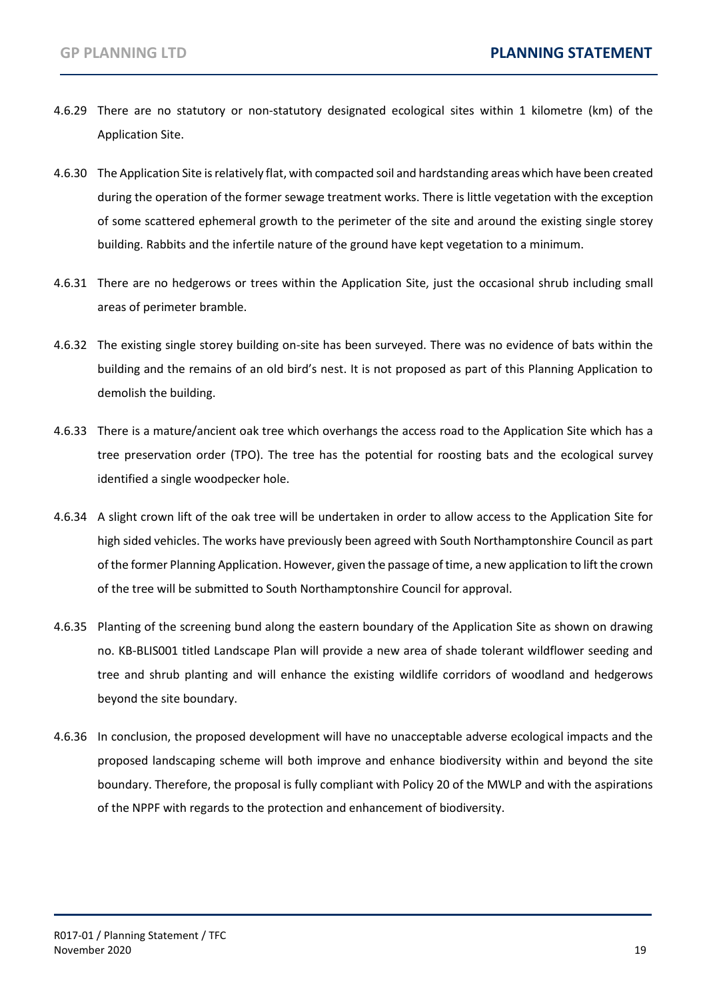- 4.6.29 There are no statutory or non-statutory designated ecological sites within 1 kilometre (km) of the Application Site.
- 4.6.30 The Application Site is relatively flat, with compacted soil and hardstanding areas which have been created during the operation of the former sewage treatment works. There is little vegetation with the exception of some scattered ephemeral growth to the perimeter of the site and around the existing single storey building. Rabbits and the infertile nature of the ground have kept vegetation to a minimum.
- 4.6.31 There are no hedgerows or trees within the Application Site, just the occasional shrub including small areas of perimeter bramble.
- 4.6.32 The existing single storey building on-site has been surveyed. There was no evidence of bats within the building and the remains of an old bird's nest. It is not proposed as part of this Planning Application to demolish the building.
- 4.6.33 There is a mature/ancient oak tree which overhangs the access road to the Application Site which has a tree preservation order (TPO). The tree has the potential for roosting bats and the ecological survey identified a single woodpecker hole.
- 4.6.34 A slight crown lift of the oak tree will be undertaken in order to allow access to the Application Site for high sided vehicles. The works have previously been agreed with South Northamptonshire Council as part of the former Planning Application. However, given the passage of time, a new application to lift the crown of the tree will be submitted to South Northamptonshire Council for approval.
- 4.6.35 Planting of the screening bund along the eastern boundary of the Application Site as shown on drawing no. KB-BLIS001 titled Landscape Plan will provide a new area of shade tolerant wildflower seeding and tree and shrub planting and will enhance the existing wildlife corridors of woodland and hedgerows beyond the site boundary.
- 4.6.36 In conclusion, the proposed development will have no unacceptable adverse ecological impacts and the proposed landscaping scheme will both improve and enhance biodiversity within and beyond the site boundary. Therefore, the proposal is fully compliant with Policy 20 of the MWLP and with the aspirations of the NPPF with regards to the protection and enhancement of biodiversity.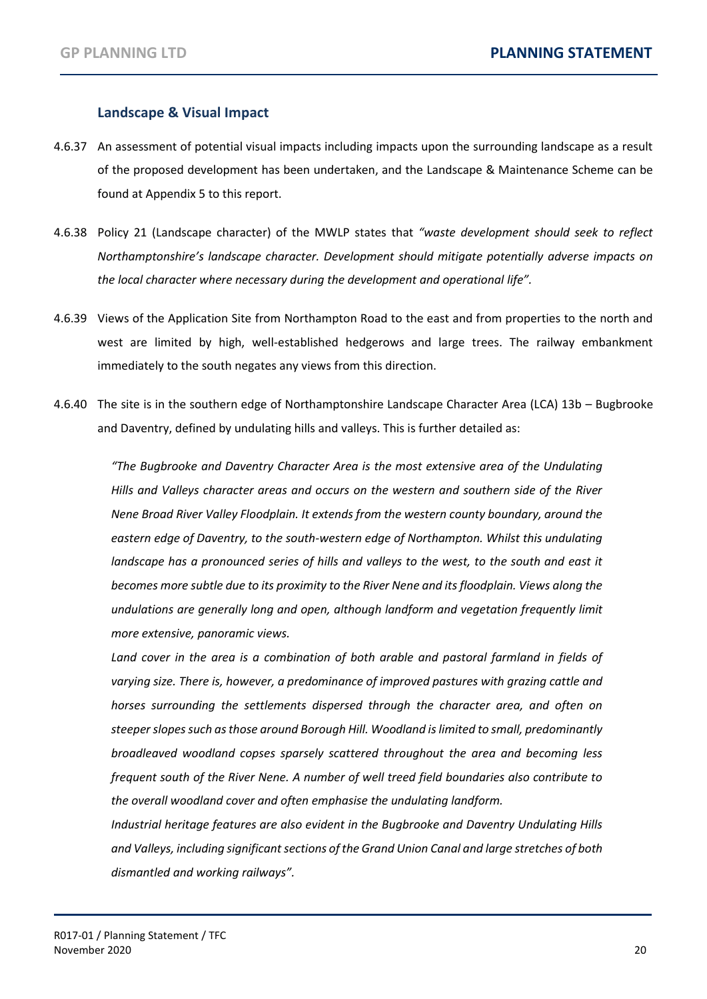#### **Landscape & Visual Impact**

- 4.6.37 An assessment of potential visual impacts including impacts upon the surrounding landscape as a result of the proposed development has been undertaken, and the Landscape & Maintenance Scheme can be found at Appendix 5 to this report.
- 4.6.38 Policy 21 (Landscape character) of the MWLP states that *"waste development should seek to reflect Northamptonshire's landscape character. Development should mitigate potentially adverse impacts on the local character where necessary during the development and operational life".*
- 4.6.39 Views of the Application Site from Northampton Road to the east and from properties to the north and west are limited by high, well-established hedgerows and large trees. The railway embankment immediately to the south negates any views from this direction.
- 4.6.40 The site is in the southern edge of Northamptonshire Landscape Character Area (LCA) 13b Bugbrooke and Daventry, defined by undulating hills and valleys. This is further detailed as:

*"The Bugbrooke and Daventry Character Area is the most extensive area of the Undulating Hills and Valleys character areas and occurs on the western and southern side of the River Nene Broad River Valley Floodplain. It extends from the western county boundary, around the eastern edge of Daventry, to the south-western edge of Northampton. Whilst this undulating*  landscape has a pronounced series of hills and valleys to the west, to the south and east it *becomes more subtle due to its proximity to the River Nene and its floodplain. Views along the undulations are generally long and open, although landform and vegetation frequently limit more extensive, panoramic views.*

Land cover in the area is a combination of both arable and pastoral farmland in fields of *varying size. There is, however, a predominance of improved pastures with grazing cattle and horses surrounding the settlements dispersed through the character area, and often on steeper slopes such as those around Borough Hill. Woodland is limited to small, predominantly broadleaved woodland copses sparsely scattered throughout the area and becoming less frequent south of the River Nene. A number of well treed field boundaries also contribute to the overall woodland cover and often emphasise the undulating landform.*

*Industrial heritage features are also evident in the Bugbrooke and Daventry Undulating Hills and Valleys, including significant sections of the Grand Union Canal and large stretches of both dismantled and working railways".*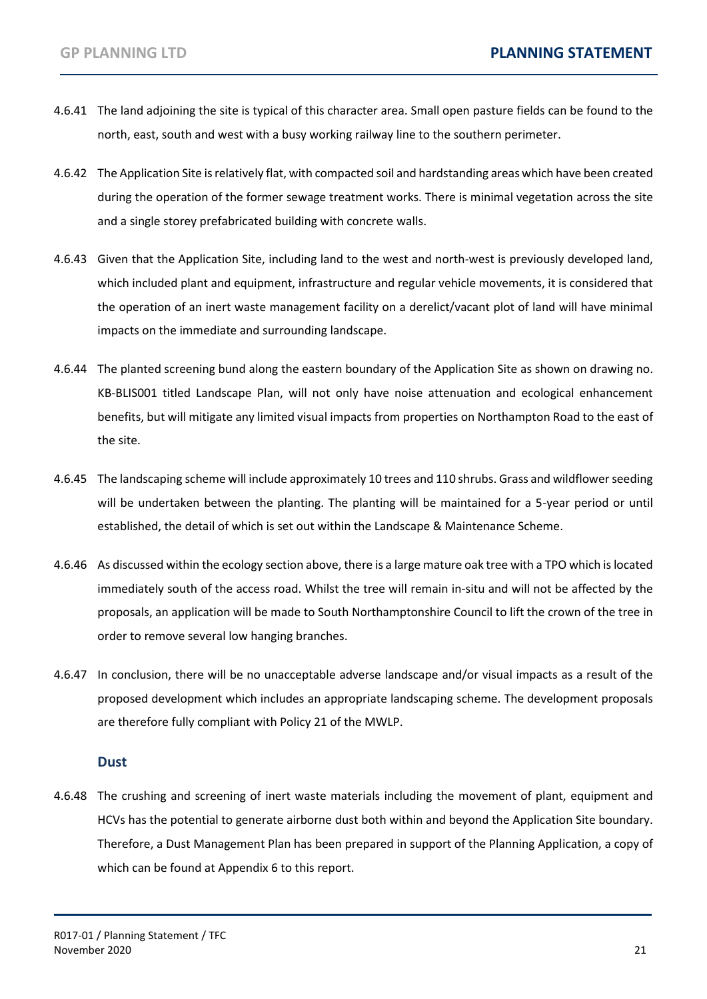- 4.6.41 The land adjoining the site is typical of this character area. Small open pasture fields can be found to the north, east, south and west with a busy working railway line to the southern perimeter.
- 4.6.42 The Application Site is relatively flat, with compacted soil and hardstanding areas which have been created during the operation of the former sewage treatment works. There is minimal vegetation across the site and a single storey prefabricated building with concrete walls.
- 4.6.43 Given that the Application Site, including land to the west and north-west is previously developed land, which included plant and equipment, infrastructure and regular vehicle movements, it is considered that the operation of an inert waste management facility on a derelict/vacant plot of land will have minimal impacts on the immediate and surrounding landscape.
- 4.6.44 The planted screening bund along the eastern boundary of the Application Site as shown on drawing no. KB-BLIS001 titled Landscape Plan, will not only have noise attenuation and ecological enhancement benefits, but will mitigate any limited visual impacts from properties on Northampton Road to the east of the site.
- 4.6.45 The landscaping scheme will include approximately 10 trees and 110 shrubs. Grass and wildflower seeding will be undertaken between the planting. The planting will be maintained for a 5-year period or until established, the detail of which is set out within the Landscape & Maintenance Scheme.
- 4.6.46 As discussed within the ecology section above, there is a large mature oak tree with a TPO which is located immediately south of the access road. Whilst the tree will remain in-situ and will not be affected by the proposals, an application will be made to South Northamptonshire Council to lift the crown of the tree in order to remove several low hanging branches.
- 4.6.47 In conclusion, there will be no unacceptable adverse landscape and/or visual impacts as a result of the proposed development which includes an appropriate landscaping scheme. The development proposals are therefore fully compliant with Policy 21 of the MWLP.

#### **Dust**

4.6.48 The crushing and screening of inert waste materials including the movement of plant, equipment and HCVs has the potential to generate airborne dust both within and beyond the Application Site boundary. Therefore, a Dust Management Plan has been prepared in support of the Planning Application, a copy of which can be found at Appendix 6 to this report.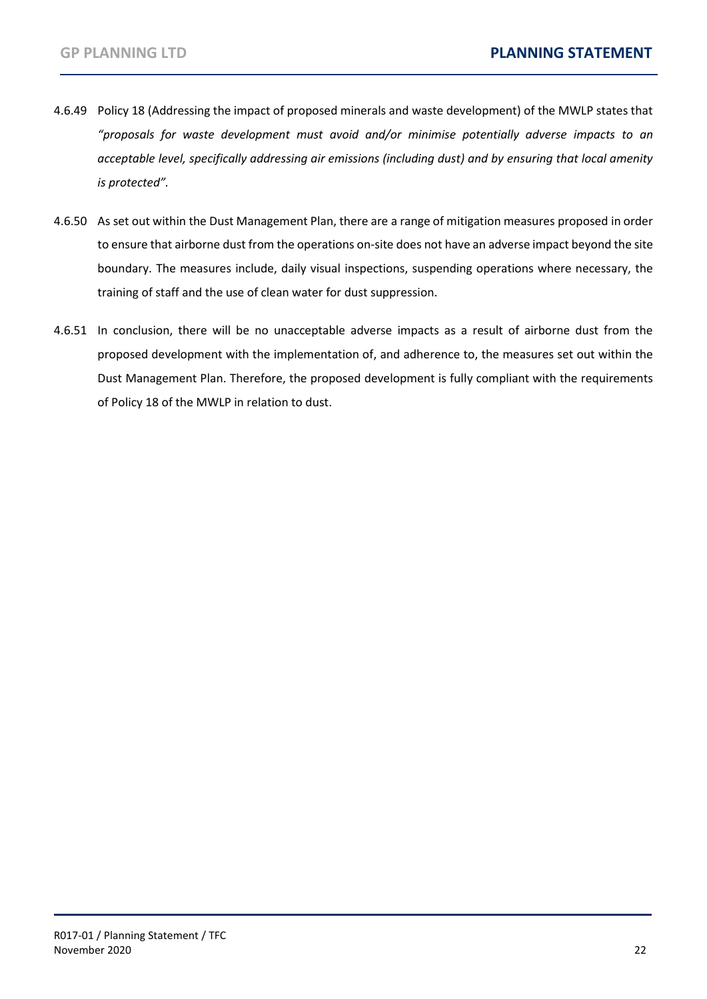- 4.6.49 Policy 18 (Addressing the impact of proposed minerals and waste development) of the MWLP states that *"proposals for waste development must avoid and/or minimise potentially adverse impacts to an acceptable level, specifically addressing air emissions (including dust) and by ensuring that local amenity is protected".*
- 4.6.50 As set out within the Dust Management Plan, there are a range of mitigation measures proposed in order to ensure that airborne dust from the operations on-site does not have an adverse impact beyond the site boundary. The measures include, daily visual inspections, suspending operations where necessary, the training of staff and the use of clean water for dust suppression.
- 4.6.51 In conclusion, there will be no unacceptable adverse impacts as a result of airborne dust from the proposed development with the implementation of, and adherence to, the measures set out within the Dust Management Plan. Therefore, the proposed development is fully compliant with the requirements of Policy 18 of the MWLP in relation to dust.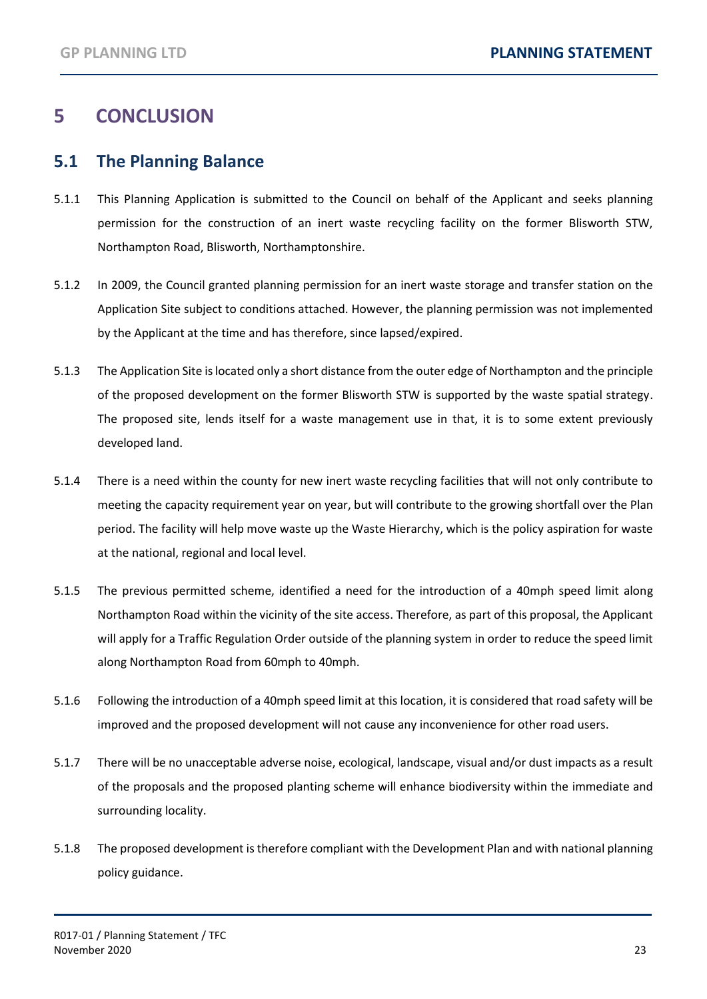# <span id="page-24-0"></span>**5 CONCLUSION**

#### <span id="page-24-1"></span>**5.1 The Planning Balance**

- 5.1.1 This Planning Application is submitted to the Council on behalf of the Applicant and seeks planning permission for the construction of an inert waste recycling facility on the former Blisworth STW, Northampton Road, Blisworth, Northamptonshire.
- 5.1.2 In 2009, the Council granted planning permission for an inert waste storage and transfer station on the Application Site subject to conditions attached. However, the planning permission was not implemented by the Applicant at the time and has therefore, since lapsed/expired.
- 5.1.3 The Application Site is located only a short distance from the outer edge of Northampton and the principle of the proposed development on the former Blisworth STW is supported by the waste spatial strategy. The proposed site, lends itself for a waste management use in that, it is to some extent previously developed land.
- 5.1.4 There is a need within the county for new inert waste recycling facilities that will not only contribute to meeting the capacity requirement year on year, but will contribute to the growing shortfall over the Plan period. The facility will help move waste up the Waste Hierarchy, which is the policy aspiration for waste at the national, regional and local level.
- 5.1.5 The previous permitted scheme, identified a need for the introduction of a 40mph speed limit along Northampton Road within the vicinity of the site access. Therefore, as part of this proposal, the Applicant will apply for a Traffic Regulation Order outside of the planning system in order to reduce the speed limit along Northampton Road from 60mph to 40mph.
- 5.1.6 Following the introduction of a 40mph speed limit at this location, it is considered that road safety will be improved and the proposed development will not cause any inconvenience for other road users.
- 5.1.7 There will be no unacceptable adverse noise, ecological, landscape, visual and/or dust impacts as a result of the proposals and the proposed planting scheme will enhance biodiversity within the immediate and surrounding locality.
- 5.1.8 The proposed development is therefore compliant with the Development Plan and with national planning policy guidance.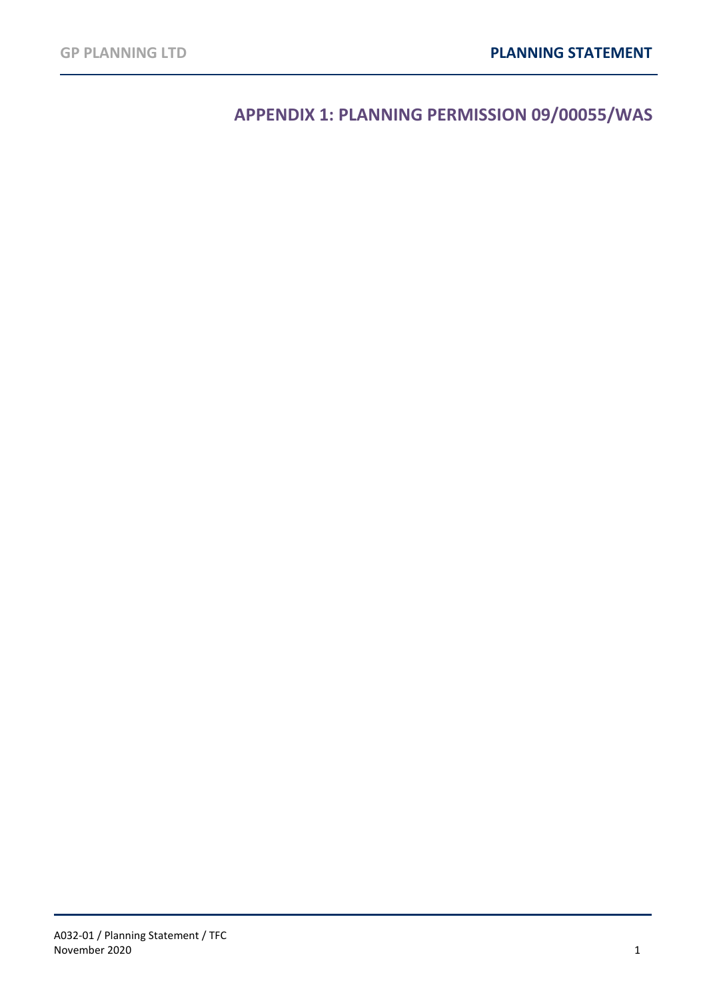**APPENDIX 1: PLANNING PERMISSION 09/00055/WAS**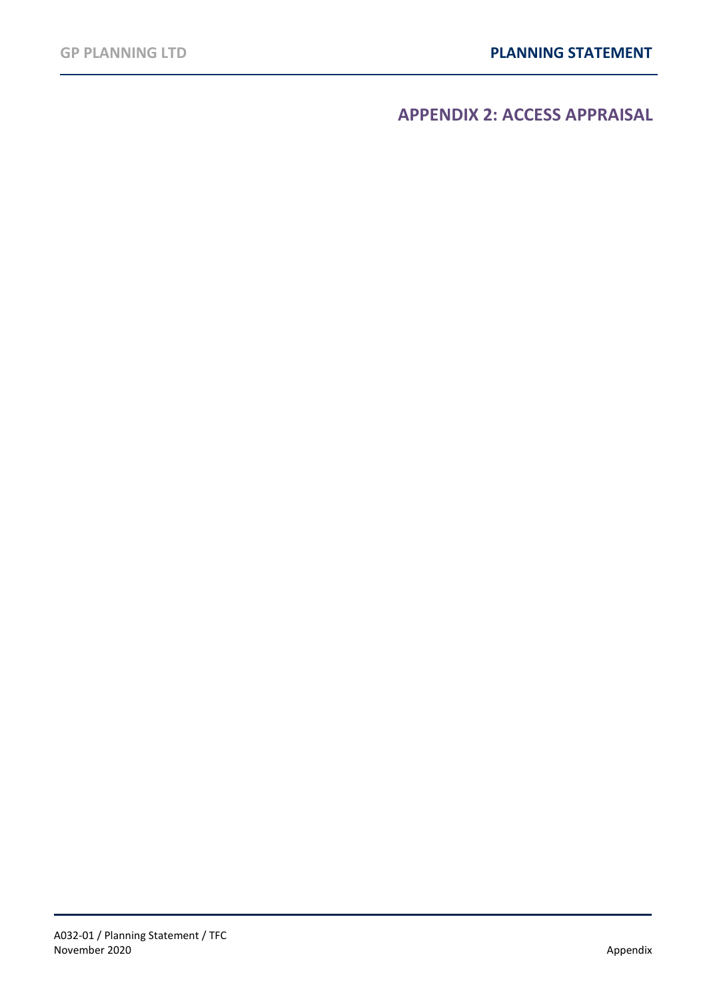<span id="page-26-0"></span>**APPENDIX 2: ACCESS APPRAISAL**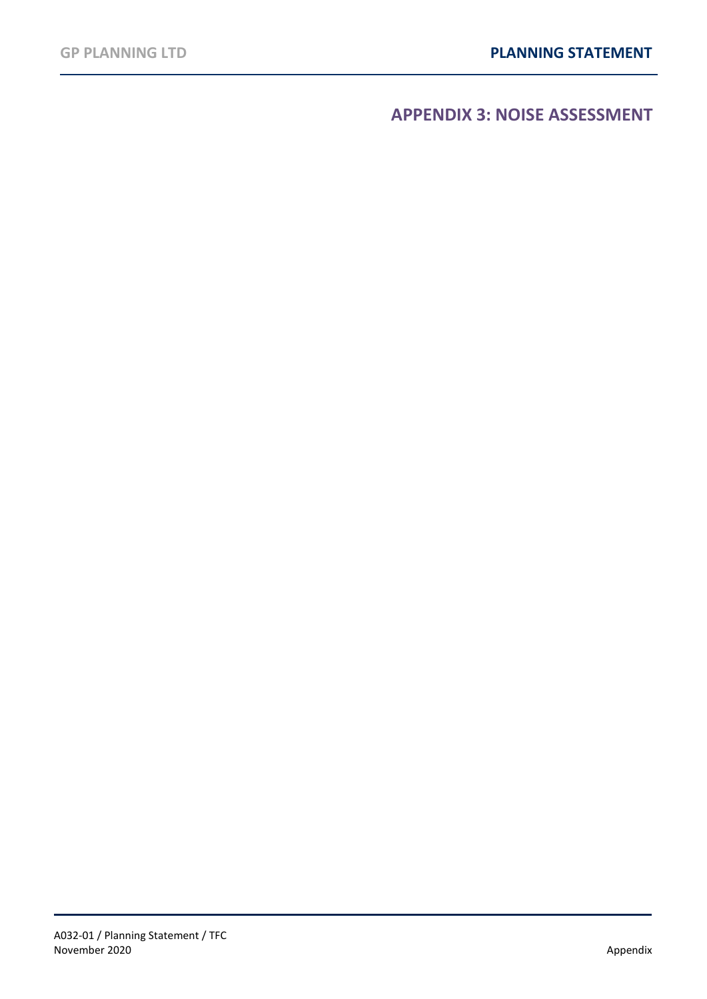<span id="page-27-0"></span>**APPENDIX 3: NOISE ASSESSMENT**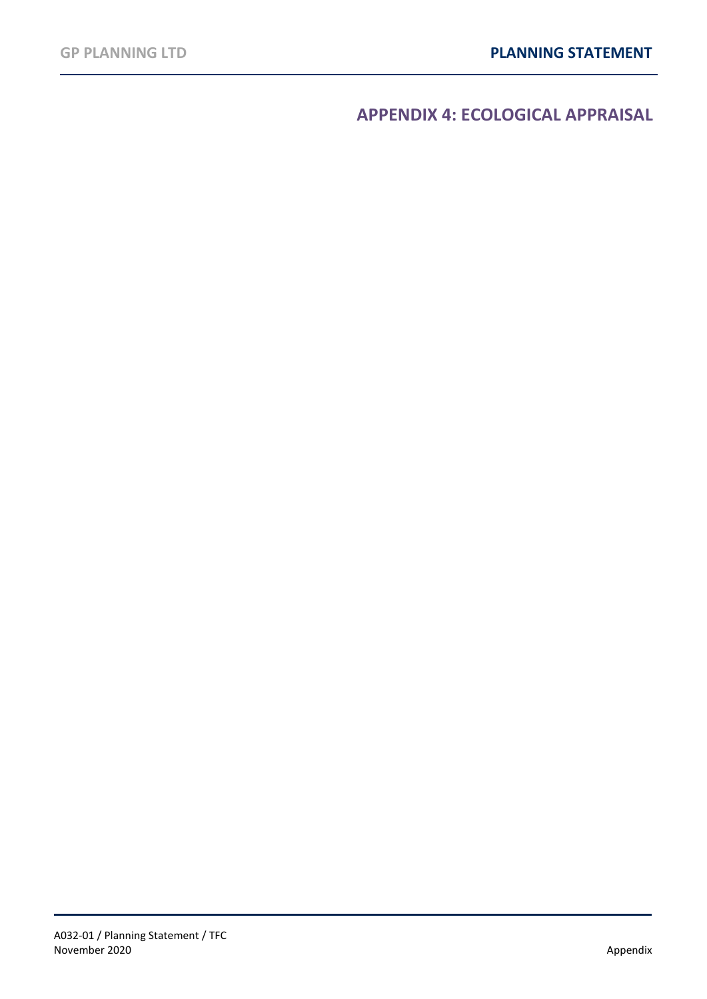<span id="page-28-0"></span>**APPENDIX 4: ECOLOGICAL APPRAISAL**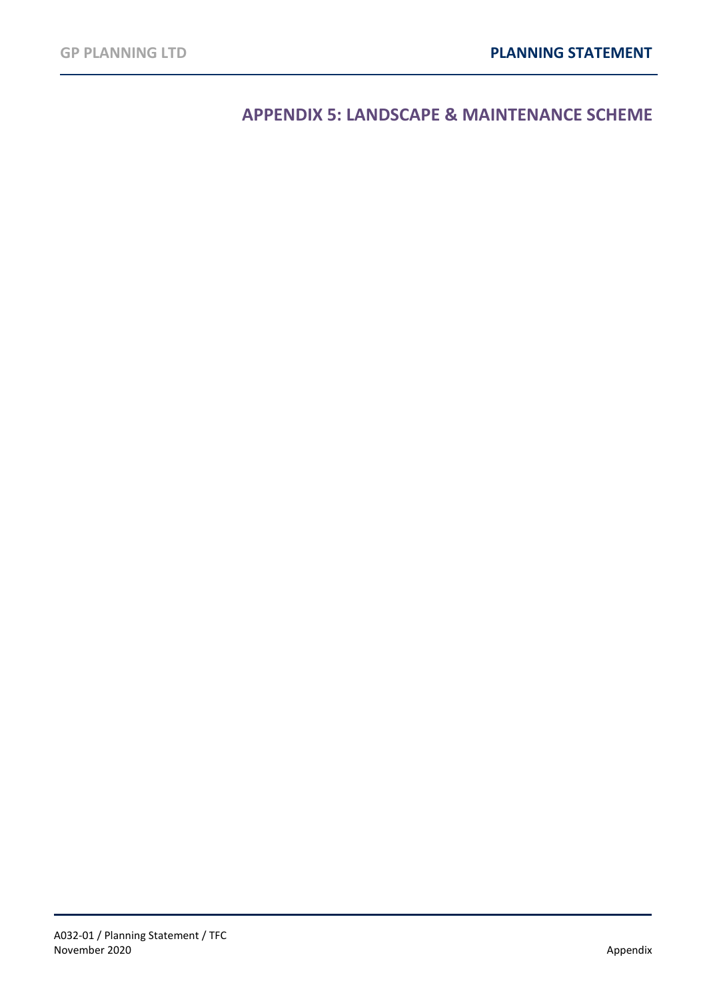<span id="page-29-0"></span>**APPENDIX 5: LANDSCAPE & MAINTENANCE SCHEME**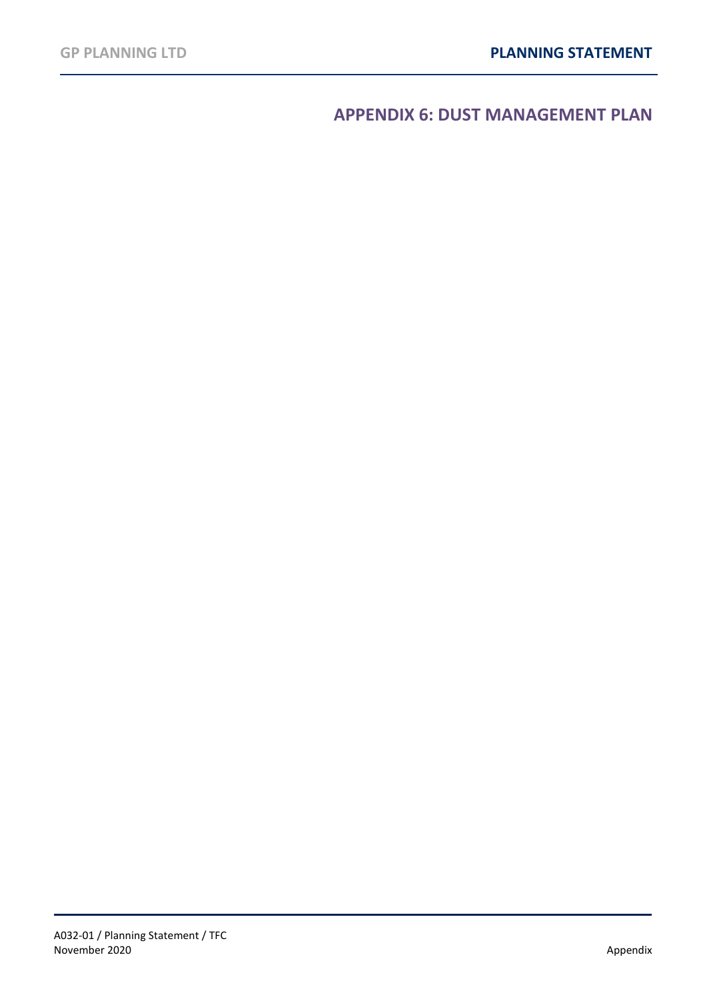<span id="page-30-0"></span>**APPENDIX 6: DUST MANAGEMENT PLAN**